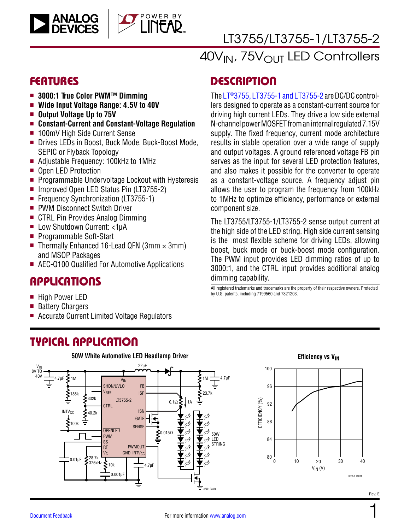



# [LT3755/LT3755-1/LT3755-2](https://www.analog.com/LT3755?doc=LT3755-3755-1-3755-2.pdf)

40V<sub>IN</sub>, 75V<sub>OUT</sub> LED Controllers

### FEATURES

- 3000:1 True Color PWM<sup>™</sup> Dimming
- Wide Input Voltage Range: 4.5V to 40V
- **n** Output Voltage Up to 75V
- Constant-Current and Constant-Voltage Regulation
- 100mV High Side Current Sense
- Drives LEDs in Boost, Buck Mode, Buck-Boost Mode, SEPIC or Flyback Topology
- Adjustable Frequency: 100kHz to 1MHz
- Open LED Protection
- $\blacksquare$  Programmable Undervoltage Lockout with Hysteresis
- Improved Open LED Status Pin (LT3755-2)
- Frequency Synchronization (LT3755-1)
- PWM Disconnect Switch Driver
- CTRL Pin Provides Analog Dimming
- Low Shutdown Current: <1µA
- **Programmable Soft-Start**
- Thermally Enhanced 16-Lead QFN (3mm  $\times$  3mm) and MSOP Packages
- AEC-Q100 Qualified For Automotive Applications

### APPLICATIONS

- High Power LED
- Battery Chargers
- <sup>n</sup> Accurate Current Limited Voltage Regulators

### TYPICAL APPLICATION

**DESCRIPTION** 

The [LT®3755, LT3755-1 and LT3755-2](https://www.analog.com/LT3755?doc=LT3755-3755-1-3755-2.pdf) are DC/DC controllers designed to operate as a constant-current source for driving high current LEDs. They drive a low side external N-channel power MOSFET from an internal regulated 7.15V supply. The fixed frequency, current mode architecture results in stable operation over a wide range of supply and output voltages. A ground referenced voltage FB pin serves as the input for several LED protection features, and also makes it possible for the converter to operate as a constant-voltage source. A frequency adjust pin allows the user to program the frequency from 100kHz to 1MHz to optimize efficiency, performance or external component size.

The LT3755/LT3755-1/LT3755-2 sense output current at the high side of the LED string. High side current sensing is the most flexible scheme for driving LEDs, allowing boost, buck mode or buck-boost mode configuration. The PWM input provides LED dimming ratios of up to 3000:1, and the CTRL input provides additional analog dimming capability.

All registered trademarks and trademarks are the property of their respective owners. Protected by U.S. patents, including 7199560 and 7321203.

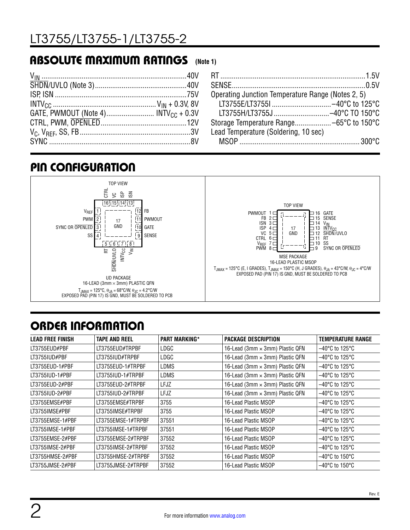### ABSOLUTE MAXIMUM RATINGS **(Note 1)**

| Operating Junction Temperature Range (Notes 2, 5) |  |
|---------------------------------------------------|--|
|                                                   |  |
|                                                   |  |
|                                                   |  |
| Lead Temperature (Soldering, 10 sec)              |  |
|                                                   |  |

### PIN CONFIGURATION



# ORDER INFORMATION

| <b>LEAD FREE FINISH</b> | <b>TAPE AND REEL</b> | <b>PART MARKING*</b> | PACKAGE DESCRIPTION             | <b>TEMPERATURE RANGE</b>            |
|-------------------------|----------------------|----------------------|---------------------------------|-------------------------------------|
| LT3755EUD#PBF           | LT3755EUD#TRPBF      | LDGC                 | 16-Lead (3mm × 3mm) Plastic QFN | $-40^{\circ}$ C to 125 $^{\circ}$ C |
| LT3755IUD#PBF           | LT3755IUD#TRPBF      | LDGC                 | 16-Lead (3mm × 3mm) Plastic QFN | $-40^{\circ}$ C to 125 $^{\circ}$ C |
| LT3755EUD-1#PBF         | LT3755EUD-1#TRPBF    | LDMS                 | 16-Lead (3mm × 3mm) Plastic QFN | $-40^{\circ}$ C to 125 $^{\circ}$ C |
| LT3755IUD-1#PBF         | LT3755IUD-1#TRPBF    | LDMS                 | 16-Lead (3mm × 3mm) Plastic QFN | $-40^{\circ}$ C to 125 $^{\circ}$ C |
| LT3755EUD-2#PBF         | LT3755EUD-2#TRPBF    | <b>LFJZ</b>          | 16-Lead (3mm × 3mm) Plastic QFN | $-40^{\circ}$ C to 125°C            |
| LT3755IUD-2#PBF         | LT3755IUD-2#TRPBF    | <b>LFJZ</b>          | 16-Lead (3mm × 3mm) Plastic QFN | $-40^{\circ}$ C to 125 $^{\circ}$ C |
| LT3755EMSE#PBF          | LT3755EMSE#TRPBF     | 3755                 | 16-Lead Plastic MSOP            | $-40^{\circ}$ C to 125 $^{\circ}$ C |
| LT3755IMSE#PBF          | LT3755IMSE#TRPBF     | 3755                 | 16-Lead Plastic MSOP            | $-40^{\circ}$ C to 125 $^{\circ}$ C |
| LT3755EMSE-1#PBF        | LT3755EMSE-1#TRPBF   | 37551                | 16-Lead Plastic MSOP            | $-40^{\circ}$ C to 125 $^{\circ}$ C |
| LT3755IMSE-1#PBF        | LT3755IMSE-1#TRPBF   | 37551                | 16-Lead Plastic MSOP            | $-40^{\circ}$ C to 125 $^{\circ}$ C |
| LT3755EMSE-2#PBF        | LT3755EMSE-2#TRPBF   | 37552                | 16-Lead Plastic MSOP            | $-40^{\circ}$ C to 125 $^{\circ}$ C |
| LT3755IMSE-2#PBF        | LT3755IMSE-2#TRPBF   | 37552                | 16-Lead Plastic MSOP            | $-40^{\circ}$ C to 125 $^{\circ}$ C |
| LT3755HMSE-2#PBF        | LT3755HMSE-2#TRPBF   | 37552                | 16-Lead Plastic MSOP            | $-40^{\circ}$ C to 150 $^{\circ}$ C |
| LT3755JMSE-2#PBF        | LT3755JMSE-2#TRPBF   | 37552                | 16-Lead Plastic MSOP            | $-40^{\circ}$ C to 150 $^{\circ}$ C |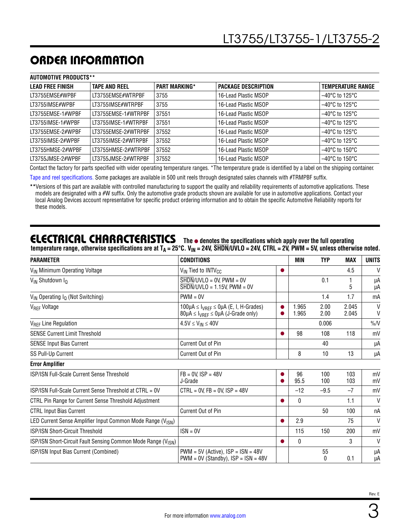# ORDER INFORMATION

| <b>AUTOMOTIVE PRODUCTS**</b> |                      |                      |                       |                                     |
|------------------------------|----------------------|----------------------|-----------------------|-------------------------------------|
| <b>LEAD FREE FINISH</b>      | <b>TAPE AND REEL</b> | <b>PART MARKING*</b> | I PACKAGE DESCRIPTION | <b>TEMPERATURE RANGE</b>            |
| LT3755EMSE#WPBF              | LT3755EMSE#WTRPBF    | 3755                 | 16-Lead Plastic MSOP  | $-40^{\circ}$ C to 125°C            |
| LT3755IMSE#WPBF              | LT3755IMSE#WTRPBF    | 3755                 | 16-Lead Plastic MSOP  | $-40^{\circ}$ C to 125 $^{\circ}$ C |
| LT3755EMSE-1#WPBF            | LT3755EMSE-1#WTRPBF  | 37551                | 16-Lead Plastic MSOP  | $-40^{\circ}$ C to 125 $^{\circ}$ C |
| LT3755IMSE-1#WPBF            | LT3755IMSE-1#WTRPBF  | 37551                | 16-Lead Plastic MSOP  | $-40^{\circ}$ C to 125 $^{\circ}$ C |
| LT3755EMSE-2#WPBF            | LT3755EMSE-2#WTRPBF  | 37552                | 16-Lead Plastic MSOP  | $-40^{\circ}$ C to 125 $^{\circ}$ C |
| LT3755IMSE-2#WPBF            | LT3755IMSE-2#WTRPBF  | 37552                | 16-Lead Plastic MSOP  | $-40^{\circ}$ C to 125°C            |
| LT3755HMSE-2#WPBF            | LT3755HMSE-2#WTRPBF  | 37552                | 16-Lead Plastic MSOP  | $-40^{\circ}$ C to 150 $^{\circ}$ C |
| LT3755JMSE-2#WPBF            | LT3755JMSE-2#WTRPBF  | 37552                | 16-Lead Plastic MSOP  | $-40^{\circ}$ C to 150 $^{\circ}$ C |

Contact the factory for parts specified with wider operating temperature ranges. \*The temperature grade is identified by a label on the shipping container.

[Tape and reel specifications](https://www.analog.com/media/en/package-pcb-resources/package/tape-reel-rev-n.pdf?doc=LT3755-3755-1-3755-2.pdf). Some packages are available in 500 unit reels through designated sales channels with #TRMPBF suffix.

\*\*Versions of this part are available with controlled manufacturing to support the quality and reliability requirements of automotive applications. These models are designated with a #W suffix. Only the automotive grade products shown are available for use in automotive applications. Contact your local Analog Devices account representative for specific product ordering information and to obtain the specific Automotive Reliability reports for these models.

### **ELECTRICAL CHARACTERISTICS** The  $\bullet$  denotes the specifications which apply over the full operating

temperature range, otherwise specifications are at T<sub>A</sub> = 25°C. V<sub>IN</sub> = 24V, SHDN/UVLO = 24V, CTRL = 2V, PWM = 5V, unless otherwise noted.

| <b>PARAMETER</b>                                                          | <b>CONDITIONS</b>                                                                                                        | MIN            | <b>TYP</b>   | <b>MAX</b>     | <b>UNITS</b> |
|---------------------------------------------------------------------------|--------------------------------------------------------------------------------------------------------------------------|----------------|--------------|----------------|--------------|
| V <sub>IN</sub> Minimum Operating Voltage                                 | V <sub>IN</sub> Tied to INTV <sub>CC</sub>                                                                               |                |              | 4.5            | $\mathsf{V}$ |
| V <sub>IN</sub> Shutdown I <sub>O</sub>                                   | $\overline{\text{SHDN}}/$ UVLO = 0V, PWM = 0V<br>$SHDN/UVLO = 1.15V$ , PWM = 0V                                          |                | 0.1          | 5              | μA<br>μA     |
| $V_{IN}$ Operating $I_{Q}$ (Not Switching)                                | $PWM = 0V$                                                                                                               |                | 1.4          | 1.7            | mA           |
| V <sub>REF</sub> Voltage                                                  | $100\mu$ A $\leq$ $I_{VREF}$ $\leq$ 0 $\mu$ A (E, I, H-Grades)<br>$80\mu$ A $\leq$ $I_{VREF} \leq 0\mu$ A (J-Grade only) | 1.965<br>1.965 | 2.00<br>2.00 | 2.045<br>2.045 | $\vee$<br>V  |
| V <sub>REF</sub> Line Regulation                                          | $4.5V \leq V_{IN} \leq 40V$                                                                                              |                | 0.006        |                | $\%N$        |
| <b>SENSE Current Limit Threshold</b>                                      |                                                                                                                          | 98             | 108          | 118            | mV           |
| <b>SENSE Input Bias Current</b>                                           | Current Out of Pin                                                                                                       |                | 40           |                | μA           |
| SS Pull-Up Current                                                        | Current Out of Pin                                                                                                       | 8              | 10           | 13             | μA           |
| <b>Error Amplifier</b>                                                    |                                                                                                                          |                |              |                |              |
| <b>ISP/ISN Full-Scale Current Sense Threshold</b>                         | $FB = 0V$ . $ISP = 48V$<br>J-Grade                                                                                       | 96<br>95.5     | 100<br>100   | 103<br>103     | mV<br>mV     |
| ISP/ISN Full-Scale Current Sense Threshold at CTRL = 0V                   | $CTRL = 0V$ , $FB = 0V$ , $ISP = 48V$                                                                                    | $-12$          | $-9.5$       | $-7$           | mV           |
| CTRL Pin Range for Current Sense Threshold Adjustment                     |                                                                                                                          | 0              |              | 1.1            | V            |
| <b>CTRL Input Bias Current</b>                                            | Current Out of Pin                                                                                                       |                | 50           | 100            | пA           |
| LED Current Sense Amplifier Input Common Mode Range (V <sub>ISN</sub> )   |                                                                                                                          | 2.9            |              | 75             | $\mathsf{V}$ |
| ISP/ISN Short-Circuit Threshold                                           | $ISN = 0V$                                                                                                               | 115            | 150          | 200            | mV           |
| ISP/ISN Short-Circuit Fault Sensing Common Mode Range (V <sub>ISN</sub> ) |                                                                                                                          | $\mathbf{0}$   |              | 3              | V            |
| ISP/ISN Input Bias Current (Combined)                                     | $PWM = 5V$ (Active), $ISP = ISN = 48V$<br>$PWM = 0V$ (Standby), $ISP = ISN = 48V$                                        |                | 55<br>0      | 0.1            | μA<br>μA     |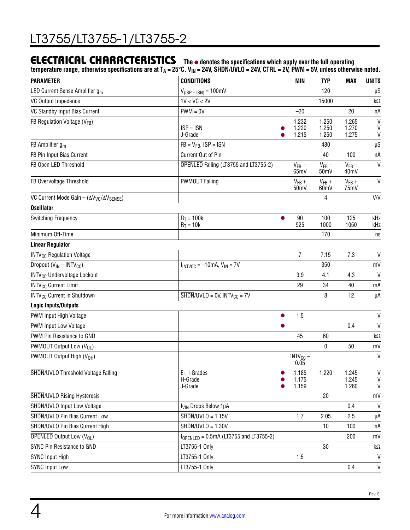### **ELECTRICAL CHARACTERISTICS** The  $\bullet$  denotes the specifications which apply over the full operating

temperature range, otherwise specifications are at T<sub>A</sub> = 25°C. V<sub>IN</sub> = 24V, SHDN/UVLO = 24V, CTRL = 2V, PWM = 5V, unless otherwise noted.

| <b>PARAMETER</b>                                          | <b>CONDITIONS</b>                                                          |           | <b>MIN</b>              | <b>TYP</b>                    | <b>MAX</b>                      | <b>UNITS</b>                      |
|-----------------------------------------------------------|----------------------------------------------------------------------------|-----------|-------------------------|-------------------------------|---------------------------------|-----------------------------------|
| LED Current Sense Amplifier g <sub>m</sub>                | $V_{(ISP - 1SN)} = 100mV$                                                  |           |                         | 120                           |                                 | μS                                |
| VC Output Impedance                                       | 1V < VC < 2V                                                               |           |                         | 15000                         |                                 | k $\Omega$                        |
| VC Standby Input Bias Current                             | $PWM = 0V$                                                                 |           | $-20$                   |                               | 20                              | пA                                |
| FB Regulation Voltage (VFB)                               | $ISP = ISN$<br>J-Grade                                                     |           | 1.232<br>1.220<br>1.215 | 1.250<br>1.250<br>1.250       | 1.265<br>1.270<br>1.275         | V<br>V<br>V                       |
| FB Amplifier $g_m$                                        | $FB = V_{FB}$ , $ISP = ISN$                                                |           |                         | 480                           |                                 | $\upmu \text{S}$                  |
| FB Pin Input Bias Current                                 | Current Out of Pin                                                         |           |                         | 40                            | 100                             | nA                                |
| FB Open LED Threshold                                     | OPENLED Falling (LT3755 and LT3755-2)                                      |           | $V_{FB}$ –<br>65mV      | $V_{FB}$ –<br>50 <sub>m</sub> | $V_{FB}$ –<br>40 <sub>m</sub> V | $\mathsf{V}$                      |
| FB Overvoltage Threshold                                  | <b>PWMOUT Falling</b>                                                      |           | $V_{FB}$ +<br>50mV      | $V_{FB}$ +<br>60mV            | $V_{FB}$ +<br>75mV              | $\vee$                            |
| VC Current Mode Gain - $(\Delta V_{VC}/\Delta V_{SENSE})$ |                                                                            |           |                         | 4                             |                                 | V/V                               |
| <b>Oscillator</b>                                         |                                                                            |           |                         |                               |                                 |                                   |
| <b>Switching Frequency</b>                                | $R_T = 100k$<br>$R_T = 10k$                                                |           | 90<br>925               | 100<br>1000                   | 125<br>1050                     | kHz<br>kHz                        |
| Minimum Off-Time                                          |                                                                            |           |                         | 170                           |                                 | ns                                |
| <b>Linear Regulator</b>                                   |                                                                            |           |                         |                               |                                 |                                   |
| <b>INTV<sub>CC</sub></b> Regulation Voltage               |                                                                            |           | 7                       | 7.15                          | 7.3                             | V                                 |
| Dropout (V <sub>IN</sub> - INTV <sub>CC</sub> )           | $I_{INTVCC}$ = -10mA, $V_{IN}$ = 7V                                        |           |                         | 350                           |                                 | mV                                |
| INTV <sub>CC</sub> Undervoltage Lockout                   |                                                                            |           | 3.9                     | 4.1                           | 4.3                             | V                                 |
| <b>INTV<sub>CC</sub></b> Current Limit                    |                                                                            |           | 29                      | 34                            | 40                              | mA                                |
| <b>INTV<sub>CC</sub></b> Current in Shutdown              | $\overline{\text{SHDN}}/\text{UVLO} = 0\text{V}$ , INTV <sub>CC</sub> = 7V |           |                         | 8                             | 12                              | μA                                |
| <b>Logic Inputs/Outputs</b>                               |                                                                            |           |                         |                               |                                 |                                   |
| PWM Input High Voltage                                    |                                                                            | $\bullet$ | 1.5                     |                               |                                 | V                                 |
| PWM Input Low Voltage                                     |                                                                            |           |                         |                               | 0.4                             | $\mathsf{V}$                      |
| PWM Pin Resistance to GND                                 |                                                                            |           | 45                      | 60                            |                                 | k $\Omega$                        |
| PWMOUT Output Low (V <sub>OL</sub> )                      |                                                                            |           |                         | $\mathbf 0$                   | 50                              | mV                                |
| PWMOUT Output High (V <sub>OH</sub> )                     |                                                                            |           | $INTV_{CC}$ –<br>0.05   |                               |                                 | V                                 |
| SHDN/UVLO Threshold Voltage Falling                       | E-, I-Grades<br>H-Grade<br>J-Grade                                         |           | 1.185<br>1.175<br>1.159 | 1.220                         | 1.245<br>1.245<br>1.260         | $\mathsf{V}$<br>V<br>$\mathsf{V}$ |
| SHDN/UVLO Rising Hysteresis                               |                                                                            |           |                         | 20                            |                                 | mV                                |
| SHDN/UVLO Input Low Voltage                               | I <sub>VIN</sub> Drops Below 1µA                                           |           |                         |                               | 0.4                             | $\mathsf{V}$                      |
| SHDN/UVLO Pin Bias Current Low                            | $\overline{\text{SHDN}}/$ UVLO = 1.15V                                     |           | 1.7                     | 2.05                          | 2.5                             | μA                                |
| SHDN/UVLO Pin Bias Current High                           | $\overline{\text{SHDN}}/$ UVLO = 1.30V                                     |           |                         | 10                            | 100                             | пA                                |
| <b>OPENLED Output Low (VOL)</b>                           | $IOFENLED = 0.5mA (LT3755 and LT3755-2)$                                   |           |                         |                               | 200                             | mV                                |
| SYNC Pin Resistance to GND                                | LT3755-1 Only                                                              |           |                         | 30                            |                                 | k $\Omega$                        |
| <b>SYNC Input High</b>                                    | LT3755-1 Only                                                              |           | 1.5                     |                               |                                 | V                                 |
| <b>SYNC Input Low</b>                                     | LT3755-1 Only                                                              |           |                         |                               | 0.4                             | V                                 |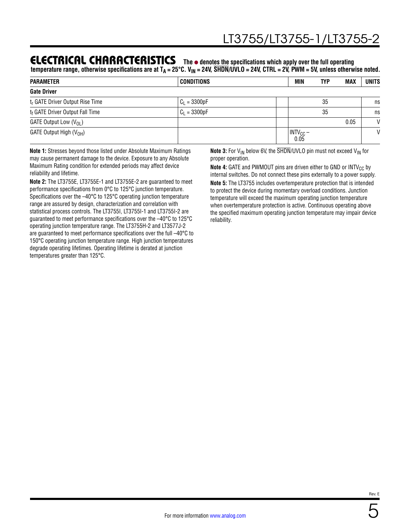### **ELECTRICAL CHARACTERISTICS** The  $\bullet$  denotes the specifications which apply over the full operating

temperature range, otherwise specifications are at T<sub>A</sub> = 25°C. V<sub>IN</sub> = 24V, SHDN/UVLO = 24V, CTRL = 2V, PWM = 5V, unless otherwise noted.

| <b>PARAMETER</b>                            | <b>CONDITIONS</b> | MIN                                  | <b>TYP</b> | <b>MAX</b> | <b>UNITS</b> |
|---------------------------------------------|-------------------|--------------------------------------|------------|------------|--------------|
| <b>Gate Driver</b>                          |                   |                                      |            |            |              |
| t <sub>r</sub> GATE Driver Output Rise Time | $C_1 = 3300pF$    |                                      | 35         |            | ns           |
| t <sub>f</sub> GATE Driver Output Fall Time | $C_1 = 3300pF$    |                                      | 35         |            | ns           |
| GATE Output Low $(V_{OL})$                  |                   |                                      |            | 0.05       | $\mathsf{V}$ |
| GATE Output High $(V_{OH})$                 |                   | $\vert$ INTV <sub>CC</sub> –<br>0.05 |            |            | V            |

**Note 1:** Stresses beyond those listed under Absolute Maximum Ratings may cause permanent damage to the device. Exposure to any Absolute Maximum Rating condition for extended periods may affect device reliability and lifetime.

**Note 2:** The LT3755E, LT3755E-1 and LT3755E-2 are guaranteed to meet performance specifications from 0°C to 125°C junction temperature. Specifications over the –40°C to 125°C operating junction temperature range are assured by design, characterization and correlation with statistical process controls. The LT3755I, LT3755I-1 and LT3755I-2 are guaranteed to meet performance specifications over the –40°C to 125°C operating junction temperature range. The LT3755H-2 and LT3577J-2 are guaranteed to meet performance specifications over the full –40°C to 150°C operating junction temperature range. High junction temperatures degrade operating lifetimes. Operating lifetime is derated at junction temperatures greater than 125°C.

**Note 3:** For  $V_{IN}$  below 6V, the  $\overline{SHDN}/UVLO$  pin must not exceed  $V_{IN}$  for proper operation.

**Note 4:** GATE and PWMOUT pins are driven either to GND or INTV<sub>CC</sub> by internal switches. Do not connect these pins externally to a power supply. **Note 5:** The LT3755 includes overtemperature protection that is intended to protect the device during momentary overload conditions. Junction temperature will exceed the maximum operating junction temperature when overtemperature protection is active. Continuous operating above the specified maximum operating junction temperature may impair device reliability.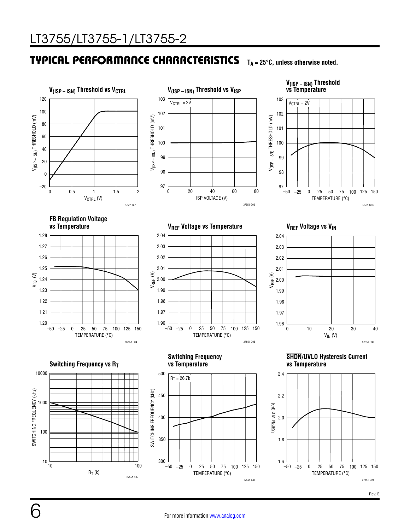#### TYPICAL PERFORMANCE CHARACTERISTICS **TA = 25°C, unless otherwise noted.**



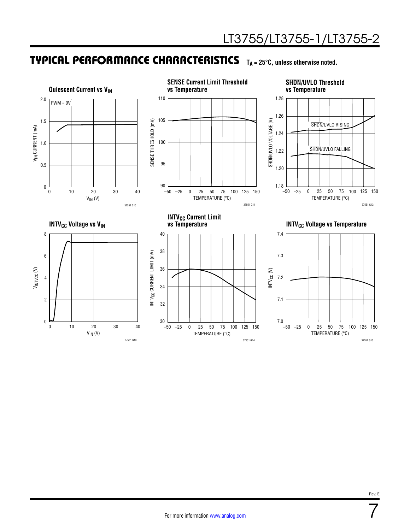### TYPICAL PERFORMANCE CHARACTERISTICS **TA = 25°C, unless otherwise noted.**

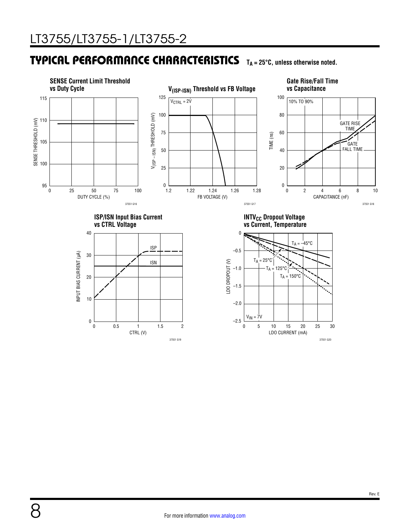8

### **TYPICAL PERFORMANCE CHARACTERISTICS** TA = 25°C, unless otherwise noted.



37551 G19

For more information [www.analog.com](https://www.analog.com?doc=LT3755-3755-1-3755-2.pdf)

37551 G20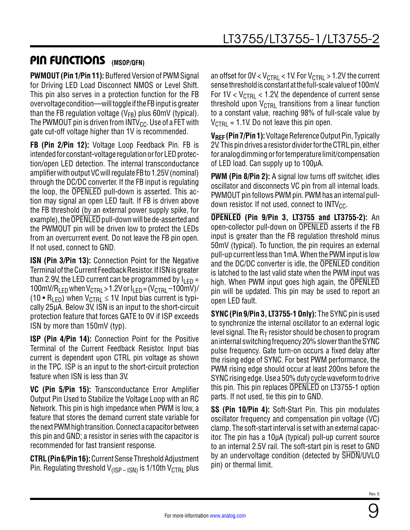# PIN FUNCTIONS **(MSOP/QFN)**

**PWMOUT (Pin 1/Pin 11):** Buffered Version of PWM Signal for Driving LED Load Disconnect NMOS or Level Shift. This pin also serves in a protection function for the FB overvoltage condition—will toggle if the FB input is greater than the FB regulation voltage ( $V_{FB}$ ) plus 60mV (typical). The PWMOUT pin is driven from INTV<sub>CC</sub>. Use of a FET with gate cut-off voltage higher than 1V is recommended.

**FB (Pin 2/Pin 12):** Voltage Loop Feedback Pin. FB is intended for constant-voltage regulation or for LED protection/open LED detection. The internal transconductance amplifier with output VC will regulate FB to 1.25V (nominal) through the DC/DC converter. If the FB input is regulating the loop, the OPENLED pull-down is asserted. This action may signal an open LED fault. If FB is driven above the FB threshold (by an external power supply spike, for example), the OPENLED pull-down will be de-asserted and the PWMOUT pin will be driven low to protect the LEDs from an overcurrent event. Do not leave the FB pin open. If not used, connect to GND.

**ISN (Pin 3/Pin 13):** Connection Point for the Negative Terminal of the Current Feedback Resistor. If ISN is greater than 2.9V, the LED current can be programmed by  $I_{LED}$  = 100mV/R<sub>LED</sub> when V<sub>CTRL</sub> > 1.2V or  $I_{\text{LFD}} = (V_{\text{CTRI}} - 100$ mV)/ (10 •  $R_{\text{F}}$ ) when  $V_{\text{CTRI}} \leq 1$ V. Input bias current is typically 25µA. Below 3V, ISN is an input to the short-circuit protection feature that forces GATE to 0V if ISP exceeds ISN by more than 150mV (typ).

**ISP (Pin 4/Pin 14):** Connection Point for the Positive Terminal of the Current Feedback Resistor. Input bias current is dependent upon CTRL pin voltage as shown in the TPC. ISP is an input to the short-circuit protection feature when ISN is less than 3V.

**VC (Pin 5/Pin 15):** Transconductance Error Amplifier Output Pin Used to Stabilize the Voltage Loop with an RC Network. This pin is high impedance when PWM is low, a feature that stores the demand current state variable for the next PWM high transition. Connect a capacitor between this pin and GND; a resistor in series with the capacitor is recommended for fast transient response.

**CTRL (Pin 6/Pin 16):** Current Sense Threshold Adjustment Pin. Regulating threshold  $V_{(ISP-ISN)}$  is 1/10th  $V_{CTRL}$  plus

an offset for OV  $<$  V<sub>CTRL</sub>  $<$  1V. For V<sub>CTRL</sub>  $>$  1.2V the current sense threshold is constant at the full-scale value of 100mV. For  $1V < V_{\text{CTRI}} < 1.2V$ , the dependence of current sense threshold upon  $V_{\text{CTRL}}$  transitions from a linear function to a constant value, reaching 98% of full-scale value by  $V_{\text{CTRI}}$  = 1.1V. Do not leave this pin open.

**VREF (Pin 7/Pin 1):** Voltage Reference Output Pin, Typically 2V. This pin drives a resistor divider for the CTRL pin, either for analog dimming or for temperature limit/compensation of LED load. Can supply up to 100μA.

**PWM (Pin 8/Pin 2):** A signal low turns off switcher, idles oscillator and disconnects VC pin from all internal loads. PWMOUT pin follows PWM pin. PWM has an internal pulldown resistor. If not used, connect to  $INTV_{CC}$ .

**OPENLED (Pin 9/Pin 3, LT3755 and LT3755-2):** An open-collector pull-down on OPENLED asserts if the FB input is greater than the FB regulation threshold minus 50mV (typical). To function, the pin requires an external pull-up current less than 1mA. When the PWM input is low and the DC/DC converter is idle, the OPENLED condition is latched to the last valid state when the PWM input was high. When PWM input goes high again, the OPENLED pin will be updated. This pin may be used to report an open LED fault.

**SYNC (Pin 9/Pin 3, LT3755-1 Only):** The SYNC pin is used to synchronize the internal oscillator to an external logic level signal. The  $R<sub>T</sub>$  resistor should be chosen to program an internal switching frequency 20% slower than the SYNC pulse frequency. Gate turn-on occurs a fixed delay after the rising edge of SYNC. For best PWM performance, the PWM rising edge should occur at least 200ns before the SYNC rising edge. Use a 50% duty cycle waveform to drive this pin. This pin replaces OPENLED on LT3755-1 option parts. If not used, tie this pin to GND.

**SS (Pin 10/Pin 4):** Soft-Start Pin. This pin modulates oscillator frequency and compensation pin voltage (VC) clamp. The soft-start interval is set with an external capacitor. The pin has a 10µA (typical) pull-up current source to an internal 2.5V rail. The soft-start pin is reset to GND by an undervoltage condition (detected by SHDN/UVLO pin) or thermal limit.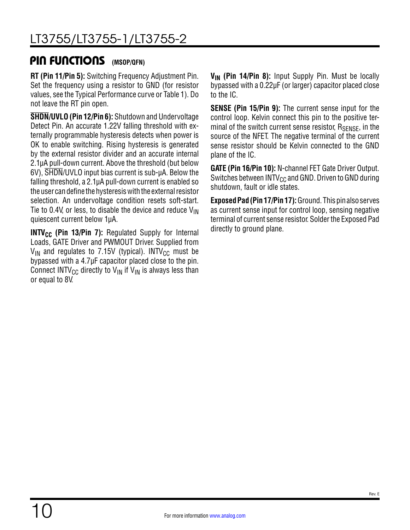### **PIN FUNCTIONS** (MSOP/QFN)

**RT (Pin 11/Pin 5):** Switching Frequency Adjustment Pin. Set the frequency using a resistor to GND (for resistor values, see the Typical Performance curve or Table 1). Do not leave the RT pin open.

**SHDN/UVLO (Pin 12/Pin 6):** Shutdown and Undervoltage Detect Pin. An accurate 1.22V falling threshold with externally programmable hysteresis detects when power is OK to enable switching. Rising hysteresis is generated by the external resistor divider and an accurate internal 2.1µA pull-down current. Above the threshold (but below 6V), SHDN/UVLO input bias current is sub-µA. Below the falling threshold, a 2.1µA pull-down current is enabled so the user can define the hysteresis with the external resistor selection. An undervoltage condition resets soft-start. Tie to 0.4V, or less, to disable the device and reduce  $V_{\text{IN}}$ quiescent current below 1µA.

**INTV<sub>CC</sub>** (Pin 13/Pin 7): Regulated Supply for Internal Loads, GATE Driver and PWMOUT Driver. Supplied from  $V_{IN}$  and regulates to 7.15V (typical). INTV<sub>CC</sub> must be bypassed with a 4.7µF capacitor placed close to the pin. Connect INTV<sub>CC</sub> directly to V<sub>IN</sub> if V<sub>IN</sub> is always less than or equal to 8V.

**V<sub>IN</sub>** (Pin 14/Pin 8): Input Supply Pin. Must be locally bypassed with a 0.22µF (or larger) capacitor placed close to the IC.

**SENSE (Pin 15/Pin 9):** The current sense input for the control loop. Kelvin connect this pin to the positive terminal of the switch current sense resistor,  $R_{\text{SFNSF}}$ , in the source of the NFET. The negative terminal of the current sense resistor should be Kelvin connected to the GND plane of the IC.

**GATE (Pin 16/Pin 10):** N-channel FET Gate Driver Output. Switches between INTV $_{\text{CC}}$  and GND. Driven to GND during shutdown, fault or idle states.

**Exposed Pad (Pin 17/Pin 17):** Ground. This pin also serves as current sense input for control loop, sensing negative terminal of current sense resistor. Solder the Exposed Pad directly to ground plane.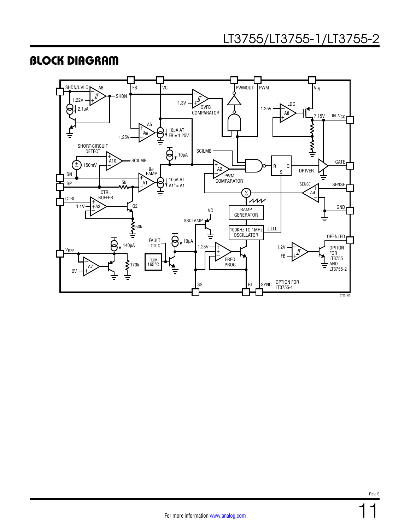### BLOCK DIAGRAM

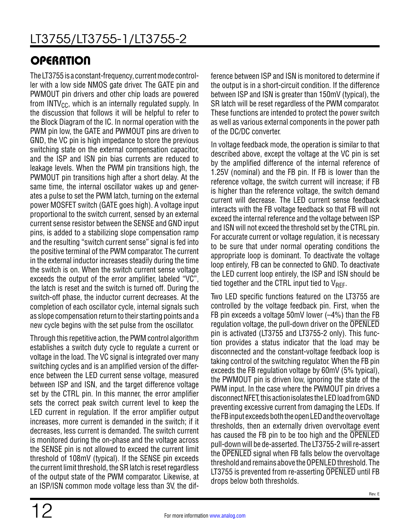# **OPERATION**

The LT3755 is a constant-frequency, current mode controller with a low side NMOS gate driver. The GATE pin and PWMOUT pin drivers and other chip loads are powered from INTV<sub>CC</sub>, which is an internally regulated supply. In the discussion that follows it will be helpful to refer to the Block Diagram of the IC. In normal operation with the PWM pin low, the GATE and PWMOUT pins are driven to GND, the VC pin is high impedance to store the previous switching state on the external compensation capacitor, and the ISP and ISN pin bias currents are reduced to leakage levels. When the PWM pin transitions high, the PWMOUT pin transitions high after a short delay. At the same time, the internal oscillator wakes up and generates a pulse to set the PWM latch, turning on the external power MOSFET switch (GATE goes high). A voltage input proportional to the switch current, sensed by an external current sense resistor between the SENSE and GND input pins, is added to a stabilizing slope compensation ramp and the resulting "switch current sense" signal is fed into the positive terminal of the PWM comparator. The current in the external inductor increases steadily during the time the switch is on. When the switch current sense voltage exceeds the output of the error amplifier, labeled "VC", the latch is reset and the switch is turned off. During the switch-off phase, the inductor current decreases. At the completion of each oscillator cycle, internal signals such as slope compensation return to their starting points and a new cycle begins with the set pulse from the oscillator.

Through this repetitive action, the PWM control algorithm establishes a switch duty cycle to regulate a current or voltage in the load. The VC signal is integrated over many switching cycles and is an amplified version of the difference between the LED current sense voltage, measured between ISP and ISN, and the target difference voltage set by the CTRL pin. In this manner, the error amplifier sets the correct peak switch current level to keep the LED current in regulation. If the error amplifier output increases, more current is demanded in the switch; if it decreases, less current is demanded. The switch current is monitored during the on-phase and the voltage across the SENSE pin is not allowed to exceed the current limit threshold of 108mV (typical). If the SENSE pin exceeds the current limit threshold, the SR latch is reset regardless of the output state of the PWM comparator. Likewise, at an ISP/ISN common mode voltage less than 3V, the difference between ISP and ISN is monitored to determine if the output is in a short-circuit condition. If the difference between ISP and ISN is greater than 150mV (typical), the SR latch will be reset regardless of the PWM comparator. These functions are intended to protect the power switch as well as various external components in the power path of the DC/DC converter.

In voltage feedback mode, the operation is similar to that described above, except the voltage at the VC pin is set by the amplified difference of the internal reference of 1.25V (nominal) and the FB pin. If FB is lower than the reference voltage, the switch current will increase; if FB is higher than the reference voltage, the switch demand current will decrease. The LED current sense feedback interacts with the FB voltage feedback so that FB will not exceed the internal reference and the voltage between ISP and ISN will not exceed the threshold set by the CTRL pin. For accurate current or voltage regulation, it is necessary to be sure that under normal operating conditions the appropriate loop is dominant. To deactivate the voltage loop entirely, FB can be connected to GND. To deactivate the LED current loop entirely, the ISP and ISN should be tied together and the CTRL input tied to  $V_{\text{RFF}}$ .

Two LED specific functions featured on the LT3755 are controlled by the voltage feedback pin. First, when the FB pin exceeds a voltage  $50mV$  lower  $(-4%)$  than the FB regulation voltage, the pull-down driver on the OPENLED pin is activated (LT3755 and LT3755-2 only). This function provides a status indicator that the load may be disconnected and the constant-voltage feedback loop is taking control of the switching regulator. When the FB pin exceeds the FB regulation voltage by 60mV (5% typical), the PWMOUT pin is driven low, ignoring the state of the PWM input. In the case where the PWMOUT pin drives a disconnect NFET, this action isolates the LED load from GND preventing excessive current from damaging the LEDs. If the FB input exceeds both the open LED and the overvoltage thresholds, then an externally driven overvoltage event has caused the FB pin to be too high and the OPENLED pull-down will be de-asserted. The LT3755-2 will re-assert the OPENLED signal when FB falls below the overvoltage threshold and remains above the OPENLED threshold. The LT3755 is prevented from re-asserting OPENLED until FB drops below both thresholds.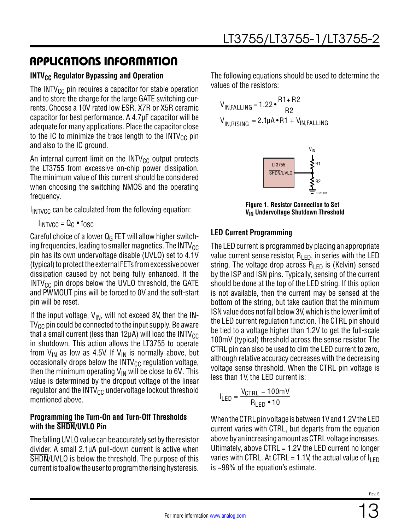### **INTV<sub>CC</sub> Regulator Bypassing and Operation**

The INTV $_{\text{CC}}$  pin requires a capacitor for stable operation and to store the charge for the large GATE switching currents. Choose a 10V rated low ESR, X7R or X5R ceramic capacitor for best performance. A 4.7µF capacitor will be adequate for many applications. Place the capacitor close to the IC to minimize the trace length to the INTV $_{\text{CC}}$  pin and also to the IC ground.

An internal current limit on the  $INTV_{CC}$  output protects the LT3755 from excessive on-chip power dissipation. The minimum value of this current should be considered when choosing the switching NMOS and the operating frequency.

 $I_{\text{INTVCC}}$  can be calculated from the following equation:

 $I_{INTVCC} = Q_G \bullet f_{OSC}$ 

Careful choice of a lower  $Q<sub>G</sub>$  FET will allow higher switching frequencies, leading to smaller magnetics. The INTV $_{\text{CC}}$ pin has its own undervoltage disable (UVLO) set to 4.1V (typical) to protect the external FETs from excessive power dissipation caused by not being fully enhanced. If the  $INTV_{CC}$  pin drops below the UVLO threshold, the GATE and PWMOUT pins will be forced to 0V and the soft-start pin will be reset.

If the input voltage,  $V_{IN}$ , will not exceed 8V, then the IN- $\mathsf{TV}_{\mathsf{CC}}$  pin could be connected to the input supply. Be aware that a small current (less than 12 $\mu$ A) will load the INTV<sub>CC</sub> in shutdown. This action allows the LT3755 to operate from  $V_{IN}$  as low as 4.5V. If  $V_{IN}$  is normally above, but occasionally drops below the  $INTV_{CC}$  regulation voltage, then the minimum operating  $V_{IN}$  will be close to 6V. This value is determined by the dropout voltage of the linear regulator and the  $INTV_{CC}$  undervoltage lockout threshold mentioned above.

#### **Programming the Turn-On and Turn-Off Thresholds with the SHDN/UVLO Pin**

The falling UVLO value can be accurately set by the resistor divider. A small 2.1µA pull-down current is active when SHDN/UVLO is below the threshold. The purpose of this current is to allow the user to program the rising hysteresis. The following equations should be used to determine the values of the resistors:

$$
V_{IN, FALLING} = 1.22 \cdot \frac{R1 + R2}{R2}
$$
  

$$
V_{IN, RISING} = 2.1 \mu A \cdot R1 + V_{IN, FALLING}
$$



**Figure 1. Resistor Connection to Set V<sub>IN</sub>** Undervoltage Shutdown Threshold

### **LED Current Programming**

The LED current is programmed by placing an appropriate value current sense resistor,  $R_{\text{LED}}$ , in series with the LED string. The voltage drop across  $R_{\text{LED}}$  is (Kelvin) sensed by the ISP and ISN pins. Typically, sensing of the current should be done at the top of the LED string. If this option is not available, then the current may be sensed at the bottom of the string, but take caution that the minimum ISN value does not fall below 3V, which is the lower limit of the LED current regulation function. The CTRL pin should be tied to a voltage higher than 1.2V to get the full-scale 100mV (typical) threshold across the sense resistor. The CTRL pin can also be used to dim the LED current to zero, although relative accuracy decreases with the decreasing voltage sense threshold. When the CTRL pin voltage is less than 1V, the LED current is:

$$
I_{LED} = \frac{V_{CTRL} - 100 \text{mV}}{R_{LED} \cdot 10}
$$

When the CTRL pin voltage is between 1V and 1.2V the LED current varies with CTRL, but departs from the equation above by an increasing amount as CTRL voltage increases. Ultimately, above CTRL = 1.2V the LED current no longer varies with CTRL. At CTRL = 1.1V, the actual value of  $I_{\text{LED}}$ is ~98% of the equation's estimate.

Rev. E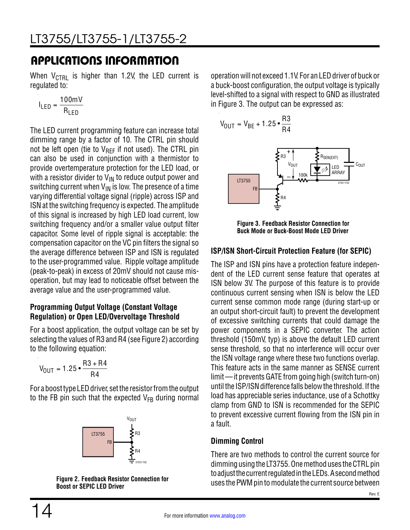When  $V_{\text{CTRI}}$  is higher than 1.2V, the LED current is regulated to:

$$
I_{LED} = \frac{100 \text{mV}}{R_{LED}}
$$

The LED current programming feature can increase total dimming range by a factor of 10. The CTRL pin should not be left open (tie to  $V_{RFF}$  if not used). The CTRL pin can also be used in conjunction with a thermistor to provide overtemperature protection for the LED load, or with a resistor divider to  $V_{\text{IN}}$  to reduce output power and switching current when  $V_{IN}$  is low. The presence of a time varying differential voltage signal (ripple) across ISP and ISN at the switching frequency is expected. The amplitude of this signal is increased by high LED load current, low switching frequency and/or a smaller value output filter capacitor. Some level of ripple signal is acceptable: the compensation capacitor on the VC pin filters the signal so the average difference between ISP and ISN is regulated to the user-programmed value. Ripple voltage amplitude (peak-to-peak) in excess of 20mV should not cause misoperation, but may lead to noticeable offset between the average value and the user-programmed value.

#### **Programming Output Voltage (Constant Voltage Regulation) or Open LED/Overvoltage Threshold**

For a boost application, the output voltage can be set by selecting the values of R3 and R4 (see Figure 2) according to the following equation:

$$
V_{OUT} = 1.25 \cdot \frac{R3 + R4}{R4}
$$

For a boost type LED driver, set the resistor from the output to the FB pin such that the expected  $V_{FB}$  during normal



**Figure 2. Feedback Resistor Connection for Boost or SEPIC LED Driver**

operation will not exceed 1.1V. For an LED driver of buck or a buck-boost configuration, the output voltage is typically level-shifted to a signal with respect to GND as illustrated in Figure 3. The output can be expressed as:

$$
V_{\text{OUT}} = V_{\text{BE}} + 1.25 \cdot \frac{\text{R3}}{\text{R4}}
$$



**Figure 3. Feedback Resistor Connection for Buck Mode or Buck-Boost Mode LED Driver**

#### **ISP/ISN Short-Circuit Protection Feature (for SEPIC)**

The ISP and ISN pins have a protection feature independent of the LED current sense feature that operates at ISN below 3V. The purpose of this feature is to provide continuous current sensing when ISN is below the LED current sense common mode range (during start-up or an output short-circuit fault) to prevent the development of excessive switching currents that could damage the power components in a SEPIC converter. The action threshold (150mV, typ) is above the default LED current sense threshold, so that no interference will occur over the ISN voltage range where these two functions overlap. This feature acts in the same manner as SENSE current limit — it prevents GATE from going high (switch turn-on) until the ISP/ISN difference falls below the threshold. If the load has appreciable series inductance, use of a Schottky clamp from GND to ISN is recommended for the SEPIC to prevent excessive current flowing from the ISN pin in a fault.

#### **Dimming Control**

There are two methods to control the current source for dimming using the LT3755. One method uses the CTRL pin to adjust the current regulated in the LEDs. A second method uses the PWM pin to modulate the current source between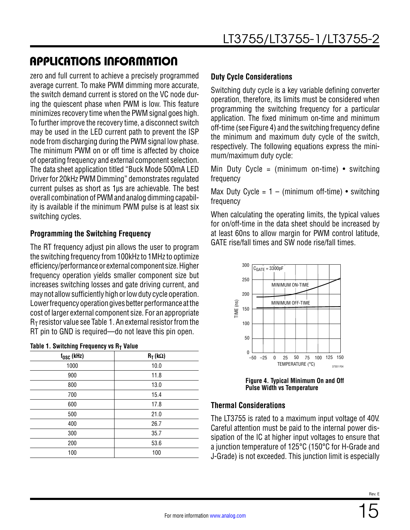zero and full current to achieve a precisely programmed average current. To make PWM dimming more accurate, the switch demand current is stored on the VC node during the quiescent phase when PWM is low. This feature minimizes recovery time when the PWM signal goes high. To further improve the recovery time, a disconnect switch may be used in the LED current path to prevent the ISP node from discharging during the PWM signal low phase. The minimum PWM on or off time is affected by choice of operating frequency and external component selection. The data sheet application titled "Buck Mode 500mA LED Driver for 20kHz PWM Dimming" demonstrates regulated current pulses as short as 1µs are achievable. The best overall combination of PWM and analog dimming capability is available if the minimum PWM pulse is at least six switching cycles.

#### **Programming the Switching Frequency**

The RT frequency adjust pin allows the user to program the switching frequency from 100kHz to 1MHz to optimize efficiency/performance or external component size. Higher frequency operation yields smaller component size but increases switching losses and gate driving current, and may not allow sufficiently high or low duty cycle operation. Lower frequency operation gives better performance at the cost of larger external component size. For an appropriate  $R<sub>T</sub>$  resistor value see Table 1. An external resistor from the RT pin to GND is required—do not leave this pin open.

| $f_{OSC}$ (kHz) | $R_T(k\Omega)$ |
|-----------------|----------------|
| 1000            | 10.0           |
| 900             | 11.8           |
| 800             | 13.0           |
| 700             | 15.4           |
| 600             | 17.8           |
| 500             | 21.0           |
| 400             | 26.7           |
| 300             | 35.7           |
| 200             | 53.6           |
| 100             | 100            |

#### **Table 1. Switching Frequency vs RT Value**

#### **Duty Cycle Considerations**

Switching duty cycle is a key variable defining converter operation, therefore, its limits must be considered when programming the switching frequency for a particular application. The fixed minimum on-time and minimum off-time (see Figure 4) and the switching frequency define the minimum and maximum duty cycle of the switch, respectively. The following equations express the minimum/maximum duty cycle:

Min Duty Cycle = (minimum on-time)  $\bullet$  switching frequency

Max Duty Cycle =  $1 - (minimum of f-time)$  • switching frequency

When calculating the operating limits, the typical values for on/off-time in the data sheet should be increased by at least 60ns to allow margin for PWM control latitude, GATE rise/fall times and SW node rise/fall times.



**Figure 4. Typical Minimum On and Off Pulse Width vs Temperature**

#### **Thermal Considerations**

The LT3755 is rated to a maximum input voltage of 40V. Careful attention must be paid to the internal power dissipation of the IC at higher input voltages to ensure that a junction temperature of 125°C (150°C for H-Grade and J-Grade) is not exceeded. This junction limit is especially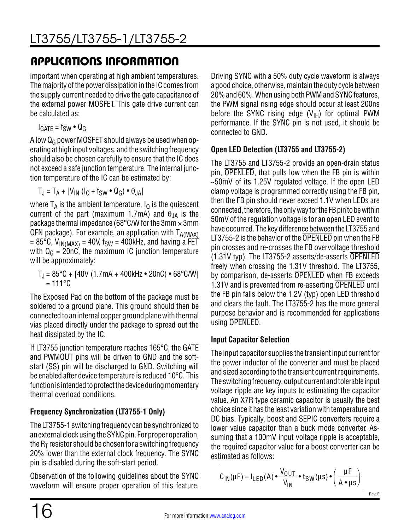important when operating at high ambient temperatures. The majority of the power dissipation in the IC comes from the supply current needed to drive the gate capacitance of the external power MOSFET. This gate drive current can be calculated as:

 $I<sub>GATE</sub> = f<sub>SW</sub> • Q<sub>G</sub>$ 

A low  $Q_G$  power MOSFET should always be used when operating at high input voltages, and the switching frequency should also be chosen carefully to ensure that the IC does not exceed a safe junction temperature. The internal junction temperature of the IC can be estimated by:

 $T_J = T_A + [V_{IN} (I_Q + f_{SW} \bullet Q_G) \bullet \theta_{JA}]$ 

where  $T_A$  is the ambient temperature,  $I_Q$  is the quiescent current of the part (maximum 1.7mA) and  $\theta_{JA}$  is the package thermal impedance (68 $^{\circ}$ C/W for the 3mm  $\times$  3mm  $QFN$  package). For example, an application with  $T_{A(MAX)}$ = 85°C,  $V_{IN(MAX)}$  = 40V, f<sub>SW</sub> = 400kHz, and having a FET with  $Q_G = 20nC$ , the maximum IC junction temperature will be approximately:

 $T_J = 85^{\circ}C + [40V (1.7mA + 400kHz \cdot 20nC) \cdot 68^{\circ}C/W]$  $= 111^{\circ}$ C

The Exposed Pad on the bottom of the package must be soldered to a ground plane. This ground should then be connected to an internal copper ground plane with thermal vias placed directly under the package to spread out the heat dissipated by the IC.

If LT3755 junction temperature reaches 165°C, the GATE and PWMOUT pins will be driven to GND and the softstart (SS) pin will be discharged to GND. Switching will be enabled after device temperature is reduced 10°C. This function is intended to protect the device during momentary thermal overload conditions.

### **Frequency Synchronization (LT3755-1 Only)**

The LT3755-1 switching frequency can be synchronized to an external clock using the SYNC pin. For proper operation, the  $R_T$  resistor should be chosen for a switching frequency 20% lower than the external clock frequency. The SYNC pin is disabled during the soft-start period.

Observation of the following guidelines about the SYNC waveform will ensure proper operation of this feature. Driving SYNC with a 50% duty cycle waveform is always a good choice, otherwise, maintain the duty cycle between 20% and 60%. When using both PWM and SYNC features, the PWM signal rising edge should occur at least 200ns before the SYNC rising edge  $(V_{H})$  for optimal PWM performance. If the SYNC pin is not used, it should be connected to GND.

### **Open LED Detection (LT3755 and LT3755-2)**

The LT3755 and LT3755-2 provide an open-drain status pin, OPENLED, that pulls low when the FB pin is within ~50mV of its 1.25V regulated voltage. If the open LED clamp voltage is programmed correctly using the FB pin, then the FB pin should never exceed 1.1V when LEDs are connected, therefore, the only way for the FB pin to be within 50mV of the regulation voltage is for an open LED event to have occurred. The key difference between the LT3755 and LT3755-2 is the behavior of the OPENLED pin when the FB pin crosses and re-crosses the FB overvoltage threshold (1.31V typ). The LT3755-2 asserts/de-asserts OPENLED freely when crossing the 1.31V threshold. The LT3755, by comparison, de-asserts OPENLED when FB exceeds 1.31V and is prevented from re-asserting OPENLED until the FB pin falls below the 1.2V (typ) open LED threshold and clears the fault. The LT3755-2 has the more general purpose behavior and is recommended for applications using OPENLED.

### **Input Capacitor Selection**

The input capacitor supplies the transient input current for the power inductor of the converter and must be placed and sized according to the transient current requirements. The switching frequency, output current and tolerable input voltage ripple are key inputs to estimating the capacitor value. An X7R type ceramic capacitor is usually the best choice since it has the least variation with temperature and DC bias. Typically, boost and SEPIC converters require a lower value capacitor than a buck mode converter. Assuming that a 100mV input voltage ripple is acceptable, the required capacitor value for a boost converter can be estimated as follows:

$$
C_{IN}(\mu F) = I_{LED}(A) \cdot \frac{V_{OUT}}{V_{IN}} \cdot t_{SW}(\mu s) \cdot \left(\frac{\mu F}{A \cdot \mu s}\right)
$$
<sub>Rev. E</sub>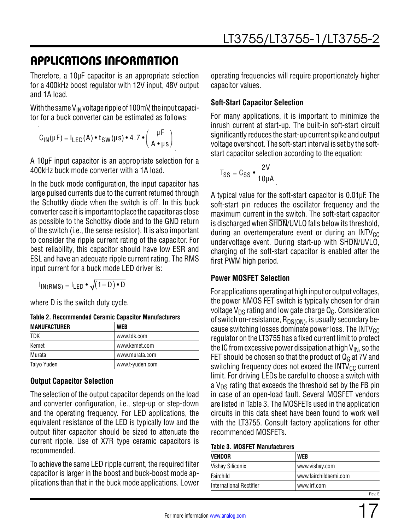Therefore, a 10µF capacitor is an appropriate selection for a 400kHz boost regulator with 12V input, 48V output and 1A load.

With the same  $V_{IN}$  voltage ripple of 100mV, the input capacitor for a buck converter can be estimated as follows:

$$
C_{IN}(\mu F) = I_{LED}(A) \cdot t_{SW}(\mu s) \cdot 4.7 \cdot \left(\frac{\mu F}{A \cdot \mu s}\right)
$$

A 10µF input capacitor is an appropriate selection for a 400kHz buck mode converter with a 1A load.

In the buck mode configuration, the input capacitor has large pulsed currents due to the current returned through the Schottky diode when the switch is off. In this buck converter case it is important to place the capacitor as close as possible to the Schottky diode and to the GND return of the switch (i.e., the sense resistor). It is also important to consider the ripple current rating of the capacitor. For best reliability, this capacitor should have low ESR and ESL and have an adequate ripple current rating. The RMS input current for a buck mode LED driver is:

$$
I_{IN(RMS)} = I_{LED} \cdot \sqrt{(1 - D) \cdot D}
$$

where D is the switch duty cycle.

**Table 2. Recommended Ceramic Capacitor Manufacturers**

| <b>MANUFACTURER</b> | <b>WEB</b>      |
|---------------------|-----------------|
| <b>TDK</b>          | www.tdk.com     |
| Kemet               | www.kemet.com   |
| Murata              | www.murata.com  |
| Taiyo Yuden         | www.t-yuden.com |

### **Output Capacitor Selection**

The selection of the output capacitor depends on the load and converter configuration, i.e., step-up or step-down and the operating frequency. For LED applications, the equivalent resistance of the LED is typically low and the output filter capacitor should be sized to attenuate the current ripple. Use of X7R type ceramic capacitors is recommended.

To achieve the same LED ripple current, the required filter capacitor is larger in the boost and buck-boost mode applications than that in the buck mode applications. Lower

operating frequencies will require proportionately higher capacitor values.

### **Soft-Start Capacitor Selection**

For many applications, it is important to minimize the inrush current at start-up. The built-in soft-start circuit significantly reduces the start-up current spike and output voltage overshoot. The soft-start interval is set by the softstart capacitor selection according to the equation:

$$
T_{SS} = C_{SS} \cdot \frac{2V}{10\mu A}
$$

A typical value for the soft-start capacitor is 0.01µF. The soft-start pin reduces the oscillator frequency and the maximum current in the switch. The soft-start capacitor is discharged when SHDN/UVLO falls below its threshold, during an overtemperature event or during an INTV $_{\text{CC}}$ undervoltage event. During start-up with SHDN/UVLO, charging of the soft-start capacitor is enabled after the first PWM high period.

### **Power MOSFET Selection**

For applications operating at high input or output voltages, the power NMOS FET switch is typically chosen for drain voltage  $V_{DS}$  rating and low gate charge  $Q_G$ . Consideration of switch on-resistance,  $R_{DS(ON)}$ , is usually secondary because switching losses dominate power loss. The  $INTV_{CC}$ regulator on the LT3755 has a fixed current limit to protect the IC from excessive power dissipation at high  $V_{IN}$ , so the FET should be chosen so that the product of  $Q_G$  at 7V and switching frequency does not exceed the  $INTV_{CC}$  current limit. For driving LEDs be careful to choose a switch with a  $V_{DS}$  rating that exceeds the threshold set by the FB pin in case of an open-load fault. Several MOSFET vendors are listed in Table 3. The MOSFETs used in the application circuits in this data sheet have been found to work well with the LT3755. Consult factory applications for other recommended MOSFETs.

#### **Table 3. MOSFET Manufacturers**

| <b>VENDOR</b>           | <b>WEB</b>            |
|-------------------------|-----------------------|
| <b>Vishay Siliconix</b> | www.vishay.com        |
| Fairchild               | www.fairchildsemi.com |
| International Rectifier | www.irf.com           |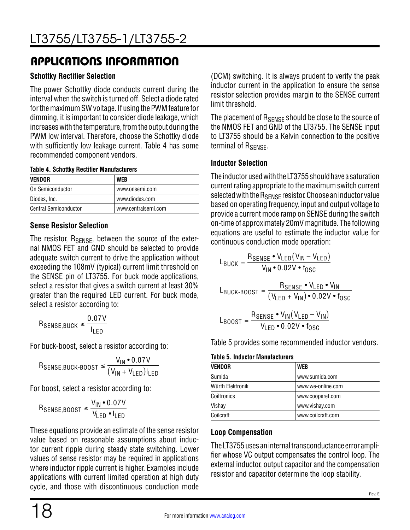#### **Schottky Rectifier Selection**

The power Schottky diode conducts current during the interval when the switch is turned off. Select a diode rated for the maximum SW voltage. If using the PWM feature for dimming, it is important to consider diode leakage, which increases with the temperature, from the output during the PWM low interval. Therefore, choose the Schottky diode with sufficiently low leakage current. Table 4 has some recommended component vendors.

#### **Table 4. Schottky Rectifier Manufacturers**

| <b>VENDOR</b>                | <b>WEB</b>          |
|------------------------------|---------------------|
| On Semiconductor             | www.onsemi.com      |
| Diodes, Inc.                 | www.diodes.com      |
| <b>Central Semiconductor</b> | www.centralsemi.com |

#### **Sense Resistor Selection**

The resistor,  $R_{\text{SENSE}}$ , between the source of the external NMOS FET and GND should be selected to provide adequate switch current to drive the application without exceeding the 108mV (typical) current limit threshold on the SENSE pin of LT3755. For buck mode applications, select a resistor that gives a switch current at least 30% greater than the required LED current. For buck mode, select a resistor according to:

 $R_{\text{SENSE,BUCK}} \leq \frac{0.07 \text{V}}{1}$ ILED

For buck-boost, select a resistor according to:

$$
R_{\text{SENSE},\text{BUCK-BOOST}} \le \frac{V_{\text{IN}} \cdot 0.07 \text{V}}{(V_{\text{IN}} + V_{\text{LED}}) \text{I_{LED}}}
$$

For boost, select a resistor according to:

$$
\mathsf{R}_{\mathsf{SENSE},\mathsf{BOOST}} \leq \frac{\mathsf{V}_{\mathsf{IN}} \cdot 0.07 \mathsf{V}}{\mathsf{V}_{\mathsf{LED}} \cdot \mathsf{I}_{\mathsf{LED}}}
$$

These equations provide an estimate of the sense resistor value based on reasonable assumptions about inductor current ripple during steady state switching. Lower values of sense resistor may be required in applications where inductor ripple current is higher. Examples include applications with current limited operation at high duty cycle, and those with discontinuous conduction mode (DCM) switching. It is always prudent to verify the peak inductor current in the application to ensure the sense resistor selection provides margin to the SENSE current limit threshold.

The placement of R<sub>SFNSF</sub> should be close to the source of the NMOS FET and GND of the LT3755. The SENSE input to LT3755 should be a Kelvin connection to the positive terminal of R<sub>SENSE</sub>.

#### **Inductor Selection**

The inductor used with the LT3755 should have a saturation current rating appropriate to the maximum switch current selected with the  $R_{\text{SENSF}}$  resistor. Choose an inductor value based on operating frequency, input and output voltage to provide a current mode ramp on SENSE during the switch on-time of approximately 20mV magnitude. The following equations are useful to estimate the inductor value for continuous conduction mode operation:

$$
L_{\text{BUCH}} = \frac{R_{\text{SENSE}} \cdot V_{\text{LED}}(V_{\text{IN}} - V_{\text{LED}})}{V_{\text{IN}} \cdot 0.02 \text{V} \cdot f_{\text{OSC}}}
$$
\n
$$
L_{\text{BUCH}} = \frac{R_{\text{SENSE}} \cdot V_{\text{LED}} \cdot V_{\text{IN}}}{(V_{\text{LED}} + V_{\text{IN}}) \cdot 0.02 \text{V} \cdot f_{\text{OSC}}}
$$
\n
$$
L_{\text{BOOST}} = \frac{R_{\text{SENSE}} \cdot V_{\text{IN}}(V_{\text{LED}} - V_{\text{IN}})}{V_{\text{LED}} \cdot 0.02 \text{V} \cdot f_{\text{OSC}}}
$$

Table 5 provides some recommended inductor vendors.

#### **Table 5. Inductor Manufacturers**

| <b>VENDOR</b>      | <b>WEB</b>        |
|--------------------|-------------------|
| Sumida             | www.sumida.com    |
| Würth Elektronik   | www.we-online.com |
| <b>Coiltronics</b> | www.cooperet.com  |
| Vishay             | www.vishay.com    |
| Coilcraft          | www.coilcraft.com |

#### **Loop Compensation**

The LT3755 uses an internal transconductance error amplifier whose VC output compensates the control loop. The external inductor, output capacitor and the compensation resistor and capacitor determine the loop stability.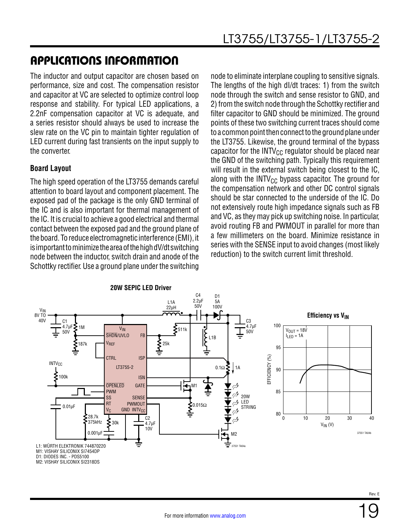The inductor and output capacitor are chosen based on performance, size and cost. The compensation resistor and capacitor at VC are selected to optimize control loop response and stability. For typical LED applications, a 2.2nF compensation capacitor at VC is adequate, and a series resistor should always be used to increase the slew rate on the VC pin to maintain tighter regulation of LED current during fast transients on the input supply to the converter.

#### **Board Layout**

The high speed operation of the LT3755 demands careful attention to board layout and component placement. The exposed pad of the package is the only GND terminal of the IC and is also important for thermal management of the IC. It is crucial to achieve a good electrical and thermal contact between the exposed pad and the ground plane of the board. To reduce electromagnetic interference (EMI), it is important to minimize the area of the high dV/dt switching node between the inductor, switch drain and anode of the Schottky rectifier. Use a ground plane under the switching node to eliminate interplane coupling to sensitive signals. The lengths of the high dI/dt traces: 1) from the switch node through the switch and sense resistor to GND, and 2) from the switch node through the Schottky rectifier and filter capacitor to GND should be minimized. The ground points of these two switching current traces should come to a common point then connect to the ground plane under the LT3755. Likewise, the ground terminal of the bypass capacitor for the INTV $_{\text{CC}}$  regulator should be placed near the GND of the switching path. Typically this requirement will result in the external switch being closest to the IC, along with the INTV $_{\text{CC}}$  bypass capacitor. The ground for the compensation network and other DC control signals should be star connected to the underside of the IC. Do not extensively route high impedance signals such as FB and VC, as they may pick up switching noise. In particular, avoid routing FB and PWMOUT in parallel for more than a few millimeters on the board. Minimize resistance in series with the SENSE input to avoid changes (most likely reduction) to the switch current limit threshold.

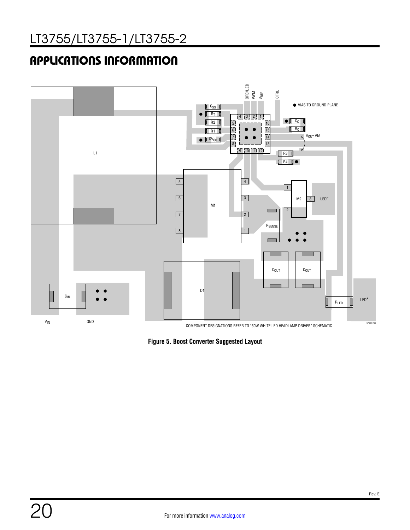

**Figure 5. Boost Converter Suggested Layout**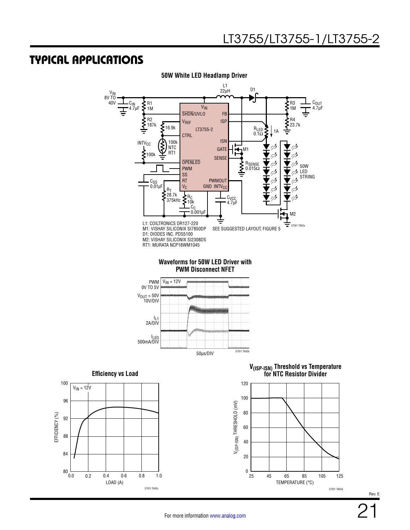

**50W White LED Headlamp Driver**



**V(ISP-ISN) Threshold vs Temperature for NTC Resistor Divider**

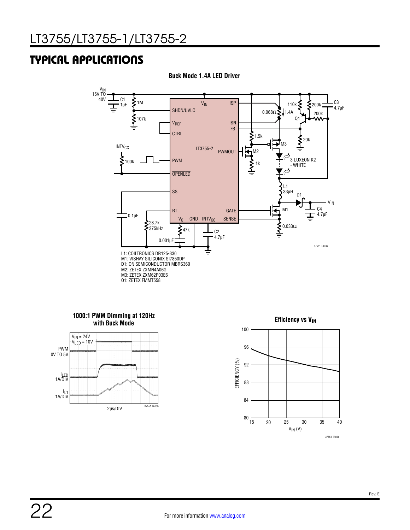

**Buck Mode 1.4A LED Driver**

#### **1000:1 PWM Dimming at 120Hz with Buck Mode**



**Efficiency vs VIN** 

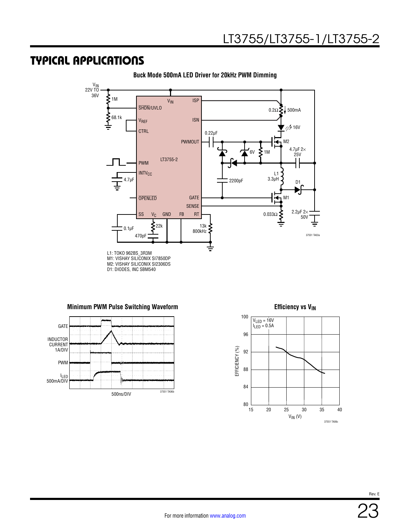

**Buck Mode 500mA LED Driver for 20kHz PWM Dimming**

#### **Minimum PWM Pulse Switching Waveform**



**Efficiency vs V<sub>IN</sub>** 



Rev. E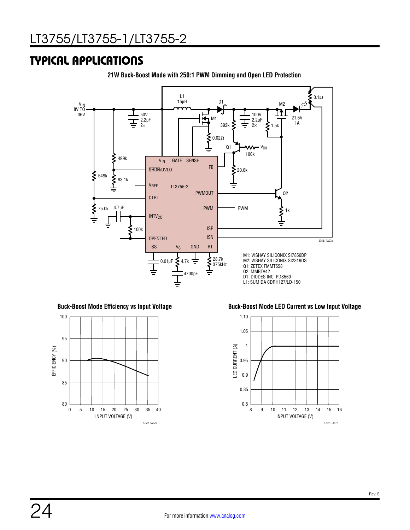

**21W Buck-Boost Mode with 250:1 PWM Dimming and Open LED Protection**



**Buck-Boost Mode Efficiency vs Input Voltage Buck-Boost Mode LED Current vs Low Input Voltage**

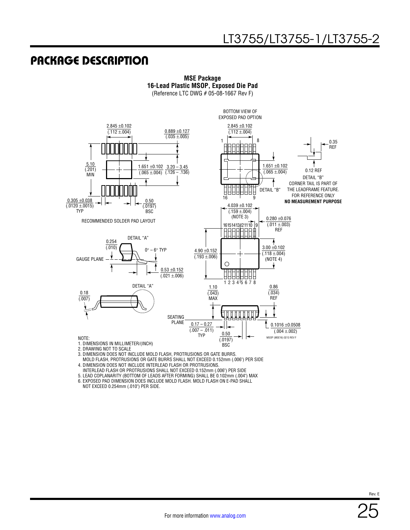### PACKAGE DESCRIPTION



**MSE Package 16-Lead Plastic MSOP, Exposed Die Pad** (Reference LTC DWG # 05-08-1667 Rev F)

3. DIMENSION DOES NOT INCLUDE MOLD FLASH, PROTRUSIONS OR GATE BURRS.

 MOLD FLASH, PROTRUSIONS OR GATE BURRS SHALL NOT EXCEED 0.152mm (.006") PER SIDE 4. DIMENSION DOES NOT INCLUDE INTERLEAD FLASH OR PROTRUSIONS.

INTERLEAD FLASH OR PROTRUSIONS SHALL NOT EXCEED 0.152mm (.006") PER SIDE

5. LEAD COPLANARITY (BOTTOM OF LEADS AFTER FORMING) SHALL BE 0.102mm (.004") MAX

6. EXPOSED PAD DIMENSION DOES INCLUDE MOLD FLASH. MOLD FLASH ON E-PAD SHALL

NOT EXCEED 0.254mm (.010") PER SIDE.

Rev. E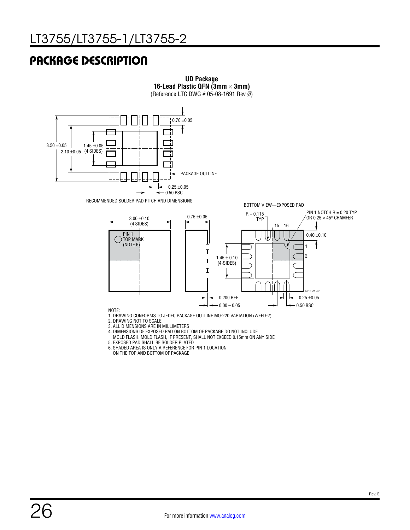### PACKAGE DESCRIPTION



**UD Package 16-Lead Plastic QFN (3mm**  $\times$  **3mm)** 

- 3. ALL DIMENSIONS ARE IN MILLIMETERS
- 4. DIMENSIONS OF EXPOSED PAD ON BOTTOM OF PACKAGE DO NOT INCLUDE
- MOLD FLASH. MOLD FLASH, IF PRESENT, SHALL NOT EXCEED 0.15mm ON ANY SIDE
- 5. EXPOSED PAD SHALL BE SOLDER PLATED
- 6. SHADED AREA IS ONLY A REFERENCE FOR PIN 1 LOCATION
- ON THE TOP AND BOTTOM OF PACKAGE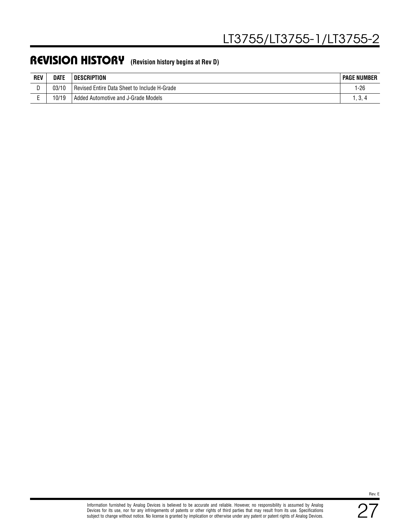### REVISION HISTORY **(Revision history begins at Rev D)**

| <b>REV</b> | <b>DATE</b> | <b>DESCRIPTION</b>                           | <b>PAGE NUMBER</b>               |
|------------|-------------|----------------------------------------------|----------------------------------|
|            | 03/10       | Revised Entire Data Sheet to Include H-Grade | 1-26                             |
|            | 10/19       | Added Automotive and J-Grade Models          | $\cdot\cdot\cdot$ . $\cdot\cdot$ |